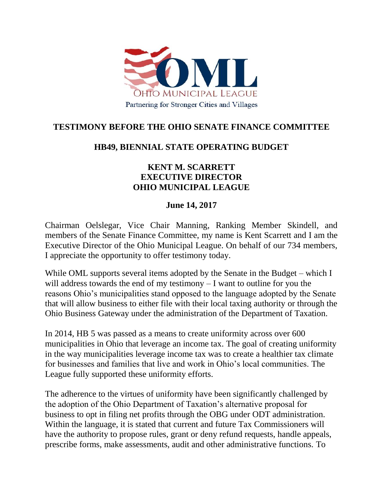

## **TESTIMONY BEFORE THE OHIO SENATE FINANCE COMMITTEE**

## **HB49, BIENNIAL STATE OPERATING BUDGET**

## **KENT M. SCARRETT EXECUTIVE DIRECTOR OHIO MUNICIPAL LEAGUE**

## **June 14, 2017**

Chairman Oelslegar, Vice Chair Manning, Ranking Member Skindell, and members of the Senate Finance Committee, my name is Kent Scarrett and I am the Executive Director of the Ohio Municipal League. On behalf of our 734 members, I appreciate the opportunity to offer testimony today.

While OML supports several items adopted by the Senate in the Budget – which I will address towards the end of my testimony – I want to outline for you the reasons Ohio's municipalities stand opposed to the language adopted by the Senate that will allow business to either file with their local taxing authority or through the Ohio Business Gateway under the administration of the Department of Taxation.

In 2014, HB 5 was passed as a means to create uniformity across over 600 municipalities in Ohio that leverage an income tax. The goal of creating uniformity in the way municipalities leverage income tax was to create a healthier tax climate for businesses and families that live and work in Ohio's local communities. The League fully supported these uniformity efforts.

The adherence to the virtues of uniformity have been significantly challenged by the adoption of the Ohio Department of Taxation's alternative proposal for business to opt in filing net profits through the OBG under ODT administration. Within the language, it is stated that current and future Tax Commissioners will have the authority to propose rules, grant or deny refund requests, handle appeals, prescribe forms, make assessments, audit and other administrative functions. To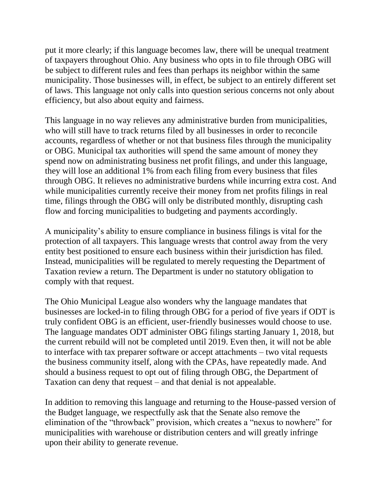put it more clearly; if this language becomes law, there will be unequal treatment of taxpayers throughout Ohio. Any business who opts in to file through OBG will be subject to different rules and fees than perhaps its neighbor within the same municipality. Those businesses will, in effect, be subject to an entirely different set of laws. This language not only calls into question serious concerns not only about efficiency, but also about equity and fairness.

This language in no way relieves any administrative burden from municipalities, who will still have to track returns filed by all businesses in order to reconcile accounts, regardless of whether or not that business files through the municipality or OBG. Municipal tax authorities will spend the same amount of money they spend now on administrating business net profit filings, and under this language, they will lose an additional 1% from each filing from every business that files through OBG. It relieves no administrative burdens while incurring extra cost. And while municipalities currently receive their money from net profits filings in real time, filings through the OBG will only be distributed monthly, disrupting cash flow and forcing municipalities to budgeting and payments accordingly.

A municipality's ability to ensure compliance in business filings is vital for the protection of all taxpayers. This language wrests that control away from the very entity best positioned to ensure each business within their jurisdiction has filed. Instead, municipalities will be regulated to merely requesting the Department of Taxation review a return. The Department is under no statutory obligation to comply with that request.

The Ohio Municipal League also wonders why the language mandates that businesses are locked-in to filing through OBG for a period of five years if ODT is truly confident OBG is an efficient, user-friendly businesses would choose to use. The language mandates ODT administer OBG filings starting January 1, 2018, but the current rebuild will not be completed until 2019. Even then, it will not be able to interface with tax preparer software or accept attachments – two vital requests the business community itself, along with the CPAs, have repeatedly made. And should a business request to opt out of filing through OBG, the Department of Taxation can deny that request – and that denial is not appealable.

In addition to removing this language and returning to the House-passed version of the Budget language, we respectfully ask that the Senate also remove the elimination of the "throwback" provision, which creates a "nexus to nowhere" for municipalities with warehouse or distribution centers and will greatly infringe upon their ability to generate revenue.